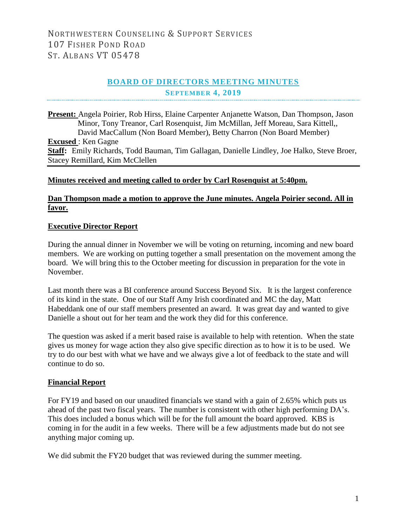# **BOARD OF DIRECTORS MEETING MINUTES SEPTEMBER 4, 2019**

**Present:** Angela Poirier, Rob Hirss, Elaine Carpenter Anjanette Watson, Dan Thompson, Jason Minor, Tony Treanor, Carl Rosenquist, Jim McMillan, Jeff Moreau, Sara Kittell,, David MacCallum (Non Board Member), Betty Charron (Non Board Member) **Excused** : Ken Gagne **Staff:** Emily Richards, Todd Bauman, Tim Gallagan, Danielle Lindley, Joe Halko, Steve Broer, Stacey Remillard, Kim McClellen

#### **Minutes received and meeting called to order by Carl Rosenquist at 5:40pm.**

#### **Dan Thompson made a motion to approve the June minutes. Angela Poirier second. All in favor.**

# **Executive Director Report**

During the annual dinner in November we will be voting on returning, incoming and new board members. We are working on putting together a small presentation on the movement among the board. We will bring this to the October meeting for discussion in preparation for the vote in November.

Last month there was a BI conference around Success Beyond Six. It is the largest conference of its kind in the state. One of our Staff Amy Irish coordinated and MC the day, Matt Habeddank one of our staff members presented an award. It was great day and wanted to give Danielle a shout out for her team and the work they did for this conference.

The question was asked if a merit based raise is available to help with retention. When the state gives us money for wage action they also give specific direction as to how it is to be used. We try to do our best with what we have and we always give a lot of feedback to the state and will continue to do so.

#### **Financial Report**

For FY19 and based on our unaudited financials we stand with a gain of 2.65% which puts us ahead of the past two fiscal years. The number is consistent with other high performing DA's. This does included a bonus which will be for the full amount the board approved. KBS is coming in for the audit in a few weeks. There will be a few adjustments made but do not see anything major coming up.

We did submit the FY20 budget that was reviewed during the summer meeting.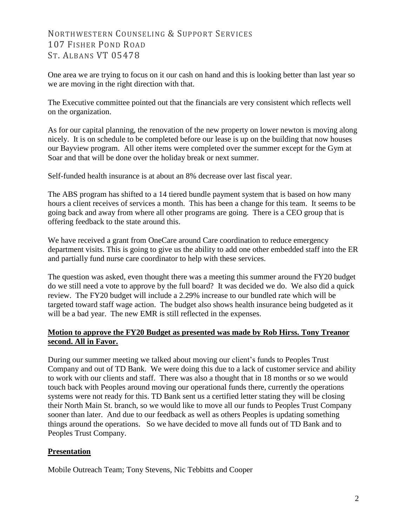# NORTHWESTERN COUNSELING & SUPPORT SERVICES 107 FISHER POND ROAD ST. ALBANS VT 05478

One area we are trying to focus on it our cash on hand and this is looking better than last year so we are moving in the right direction with that.

The Executive committee pointed out that the financials are very consistent which reflects well on the organization.

As for our capital planning, the renovation of the new property on lower newton is moving along nicely. It is on schedule to be completed before our lease is up on the building that now houses our Bayview program. All other items were completed over the summer except for the Gym at Soar and that will be done over the holiday break or next summer.

Self-funded health insurance is at about an 8% decrease over last fiscal year.

The ABS program has shifted to a 14 tiered bundle payment system that is based on how many hours a client receives of services a month. This has been a change for this team. It seems to be going back and away from where all other programs are going. There is a CEO group that is offering feedback to the state around this.

We have received a grant from OneCare around Care coordination to reduce emergency department visits. This is going to give us the ability to add one other embedded staff into the ER and partially fund nurse care coordinator to help with these services.

The question was asked, even thought there was a meeting this summer around the FY20 budget do we still need a vote to approve by the full board? It was decided we do. We also did a quick review. The FY20 budget will include a 2.29% increase to our bundled rate which will be targeted toward staff wage action. The budget also shows health insurance being budgeted as it will be a bad year. The new EMR is still reflected in the expenses.

# **Motion to approve the FY20 Budget as presented was made by Rob Hirss. Tony Treanor second. All in Favor.**

During our summer meeting we talked about moving our client's funds to Peoples Trust Company and out of TD Bank. We were doing this due to a lack of customer service and ability to work with our clients and staff. There was also a thought that in 18 months or so we would touch back with Peoples around moving our operational funds there, currently the operations systems were not ready for this. TD Bank sent us a certified letter stating they will be closing their North Main St. branch, so we would like to move all our funds to Peoples Trust Company sooner than later. And due to our feedback as well as others Peoples is updating something things around the operations. So we have decided to move all funds out of TD Bank and to Peoples Trust Company.

# **Presentation**

Mobile Outreach Team; Tony Stevens, Nic Tebbitts and Cooper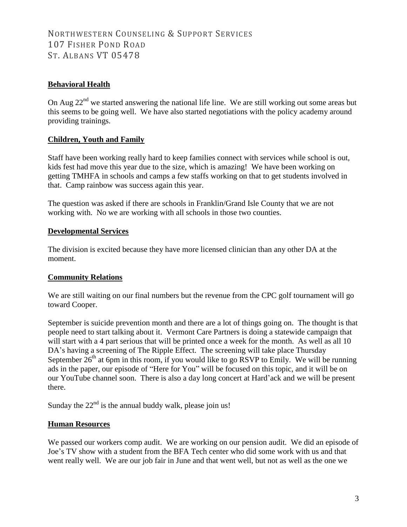# NORTHWESTERN COUNSELING & SUPPORT SERVICES 107 FISHER POND ROAD ST. ALBANS VT 05478

# **Behavioral Health**

On Aug 22<sup>nd</sup> we started answering the national life line. We are still working out some areas but this seems to be going well. We have also started negotiations with the policy academy around providing trainings.

# **Children, Youth and Family**

Staff have been working really hard to keep families connect with services while school is out, kids fest had move this year due to the size, which is amazing! We have been working on getting TMHFA in schools and camps a few staffs working on that to get students involved in that. Camp rainbow was success again this year.

The question was asked if there are schools in Franklin/Grand Isle County that we are not working with. No we are working with all schools in those two counties.

# **Developmental Services**

The division is excited because they have more licensed clinician than any other DA at the moment.

# **Community Relations**

We are still waiting on our final numbers but the revenue from the CPC golf tournament will go toward Cooper.

September is suicide prevention month and there are a lot of things going on. The thought is that people need to start talking about it. Vermont Care Partners is doing a statewide campaign that will start with a 4 part serious that will be printed once a week for the month. As well as all 10 DA's having a screening of The Ripple Effect. The screening will take place Thursday September  $26<sup>th</sup>$  at 6pm in this room, if you would like to go RSVP to Emily. We will be running ads in the paper, our episode of "Here for You" will be focused on this topic, and it will be on our YouTube channel soon. There is also a day long concert at Hard'ack and we will be present there.

Sunday the  $22<sup>nd</sup>$  is the annual buddy walk, please join us!

# **Human Resources**

We passed our workers comp audit. We are working on our pension audit. We did an episode of Joe's TV show with a student from the BFA Tech center who did some work with us and that went really well. We are our job fair in June and that went well, but not as well as the one we